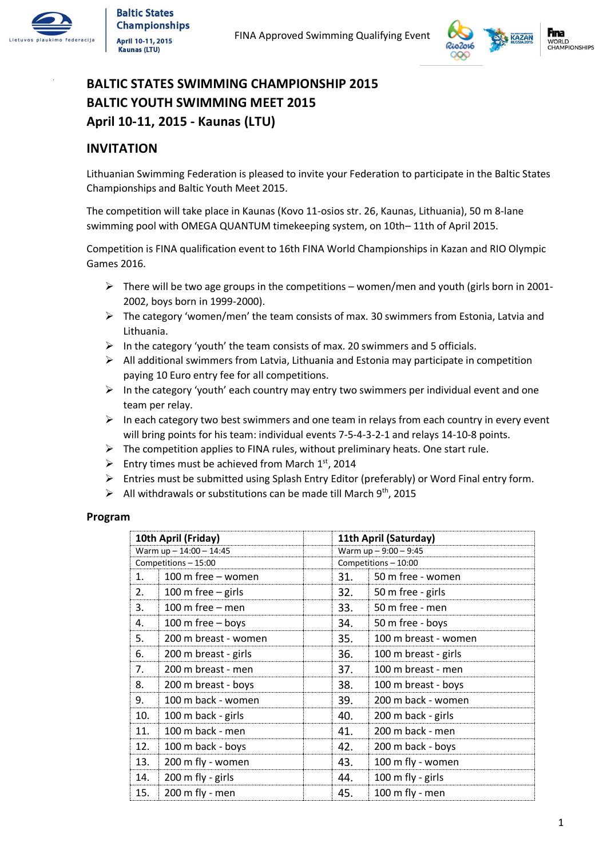



### **BALTIC STATES SWIMMING CHAMPIONSHIP 2015 BALTIC YOUTH SWIMMING MEET 2015 April 10-11, 2015 - Kaunas (LTU)**

#### **INVITATION**

Lithuanian Swimming Federation is pleased to invite your Federation to participate in the Baltic States Championships and Baltic Youth Meet 2015.

The competition will take place in Kaunas (Kovo 11-osios str. 26, Kaunas, Lithuania), 50 m 8-lane swimming pool with OMEGA QUANTUM timekeeping system, on 10th– 11th of April 2015.

Competition is FINA qualification event to 16th FINA World Championships in Kazan and RIO Olympic Games 2016.

- $\triangleright$  There will be two age groups in the competitions women/men and youth (girls born in 2001-2002, boys born in 1999-2000).
- $\triangleright$  The category 'women/men' the team consists of max. 30 swimmers from Estonia, Latvia and Lithuania.
- $\triangleright$  In the category 'youth' the team consists of max. 20 swimmers and 5 officials.
- $\triangleright$  All additional swimmers from Latvia, Lithuania and Estonia may participate in competition paying 10 Euro entry fee for all competitions.
- $\triangleright$  In the category 'youth' each country may entry two swimmers per individual event and one team per relay.
- $\triangleright$  In each category two best swimmers and one team in relays from each country in every event will bring points for his team: individual events 7-5-4-3-2-1 and relays 14-10-8 points.
- $\triangleright$  The competition applies to FINA rules, without preliminary heats. One start rule.
- $\triangleright$  Entry times must be achieved from March 1st, 2014
- Entries must be submitted using Splash Entry Editor (preferably) or Word Final entry form.
- $\triangleright$  All withdrawals or substitutions can be made till March 9<sup>th</sup>, 2015

#### **Program**

| 10th April (Friday)     |                      | 11th April (Saturday)  |                      |  |
|-------------------------|----------------------|------------------------|----------------------|--|
| Warm up - 14:00 - 14:45 |                      | Warm up $-9:00 - 9:45$ |                      |  |
| Competitions - 15:00    |                      | Competitions - 10:00   |                      |  |
| 1.                      | 100 m free - women   | 31.                    | 50 m free - women    |  |
| 2.                      | 100 m free $-$ girls | 32.                    | 50 m free - girls    |  |
| 3.                      | 100 m free $-$ men   | 33.                    | 50 m free - men      |  |
| 4.                      | 100 m free - boys    | 34.                    | 50 m free - boys     |  |
| 5.                      | 200 m breast - women | 35.                    | 100 m breast - women |  |
| 6.                      | 200 m breast - girls | 36.                    | 100 m breast - girls |  |
| 7.                      | 200 m breast - men   | 37.                    | 100 m breast - men   |  |
| 8.                      | 200 m breast - boys  | 38.                    | 100 m breast - boys  |  |
| 9.                      | 100 m back - women   | 39.                    | 200 m back - women   |  |
| 10.                     | 100 m back - girls   | 40.                    | 200 m back - girls   |  |
| 11.                     | 100 m back - men     | 41.                    | 200 m back - men     |  |
| 12.                     | 100 m back - boys    | 42.                    | 200 m back - boys    |  |
| 13.                     | 200 m fly - women    | 43.                    | 100 m fly - women    |  |
| 14.                     | 200 m fly - girls    | 44.                    | 100 m fly - girls    |  |
| 15.                     | 200 m fly - men      | 45.                    | 100 m fly - men      |  |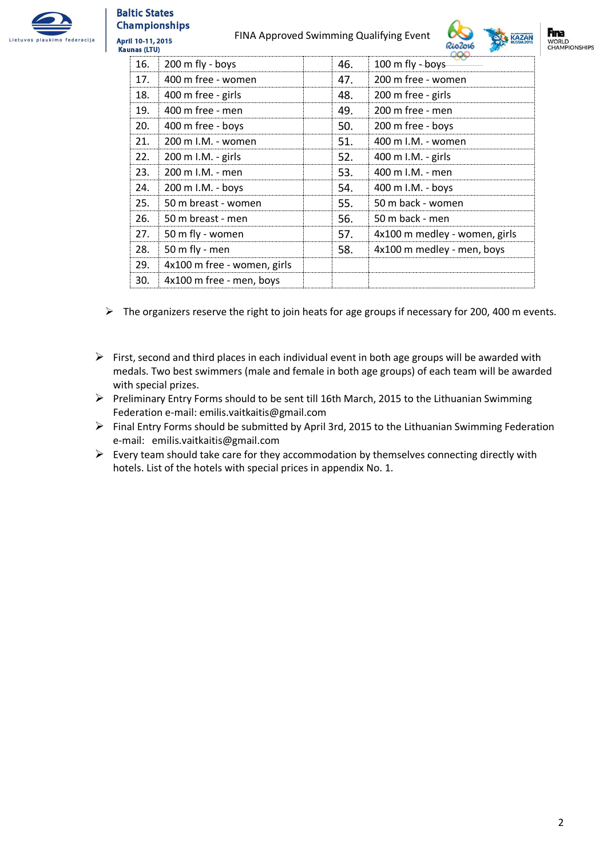

#### **Baltic States Championships** April 10-11, 2015

FINA Approved Swimming Qualifying Event





| <b>Kaunas (LTU)</b>         |     | Riozo16<br><b>START</b>       |
|-----------------------------|-----|-------------------------------|
| 200 m fly - boys            | 46. | 100 m fly - boys              |
| 400 m free - women          | 47. | 200 m free - women            |
| 400 m free - girls          | 48. | 200 m free - girls            |
| 400 m free - men            | 49. | 200 m free - men              |
| 400 m free - boys           | 50. | 200 m free - boys             |
| 200 m I.M. - women          | 51. | 400 m I.M. - women            |
| 200 m I.M. - girls          | 52. | 400 m I.M. - girls            |
| 200 m I.M. - men            | 53. | 400 m I.M. - men              |
| 200 m I.M. - boys           | 54. | 400 m I.M. - boys             |
| 50 m breast - women         | 55. | 50 m back - women             |
| 50 m breast - men           | 56. | 50 m back - men               |
| 50 m fly - women            | 57. | 4x100 m medley - women, girls |
| 50 m fly - men              | 58. | 4x100 m medley - men, boys    |
| 4x100 m free - women, girls |     |                               |
| 4x100 m free - men, boys    |     |                               |
|                             |     |                               |

- $\triangleright$  The organizers reserve the right to join heats for age groups if necessary for 200, 400 m events.
- $\triangleright$  First, second and third places in each individual event in both age groups will be awarded with medals. Two best swimmers (male and female in both age groups) of each team will be awarded with special prizes.
- $\triangleright$  Preliminary Entry Forms should to be sent till 16th March, 2015 to the Lithuanian Swimming Federation e-mail: emilis.vaitkaitis@gmail.com
- Final Entry Forms should be submitted by April 3rd, 2015 to the Lithuanian Swimming Federation e-mail: emilis.vaitkaitis@gmail.com
- $\triangleright$  Every team should take care for they accommodation by themselves connecting directly with hotels. List of the hotels with special prices in appendix No. 1.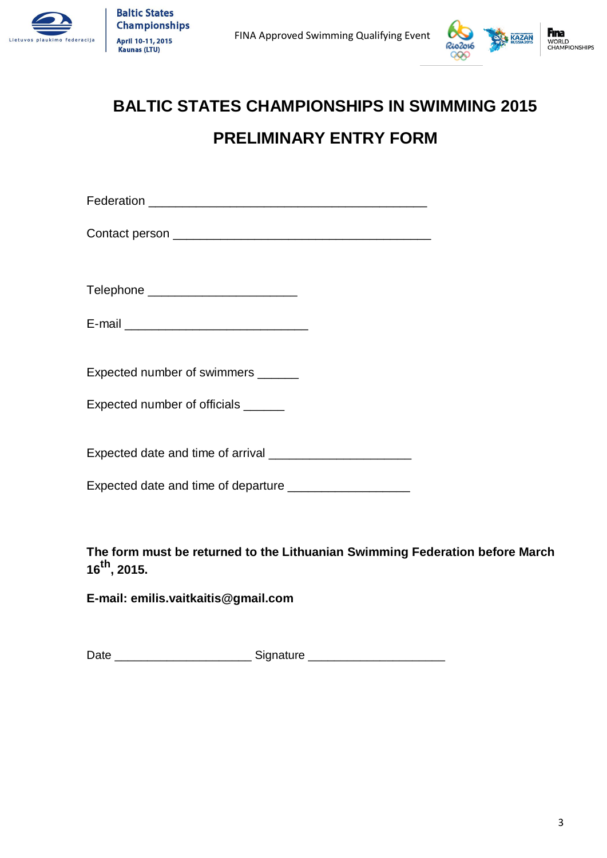



# **BALTIC STATES CHAMPIONSHIPS IN SWIMMING 2015 PRELIMINARY ENTRY FORM**

Federation \_\_\_\_\_\_\_\_\_\_\_\_\_\_\_\_\_\_\_\_\_\_\_\_\_\_\_\_\_\_\_\_\_\_\_\_\_\_\_\_\_

Contact person \_\_\_\_\_\_\_\_\_\_\_\_\_\_\_\_\_\_\_\_\_\_\_\_\_\_\_\_\_\_\_\_\_\_\_\_\_\_

Telephone \_\_\_\_\_\_\_\_\_\_\_\_\_\_\_\_\_\_\_\_\_\_

| E-mail |  |  |
|--------|--|--|
|        |  |  |

Expected number of swimmers \_\_\_\_\_\_

Expected number of officials **with the Expected** 

Expected date and time of arrival \_\_\_\_\_\_\_\_\_\_\_\_\_\_\_\_\_\_\_\_\_

Expected date and time of departure \_\_\_\_\_\_\_\_\_\_\_\_\_\_\_\_\_\_

**The form must be returned to the Lithuanian Swimming Federation before March 16th, 2015.**

**E-mail: emilis.vaitkaitis@gmail.com**

Date \_\_\_\_\_\_\_\_\_\_\_\_\_\_\_\_\_\_\_\_\_\_\_\_\_\_\_\_\_\_\_\_Signature \_\_\_\_\_\_\_\_\_\_\_\_\_\_\_\_\_\_\_\_\_\_\_\_\_\_\_\_\_\_\_\_\_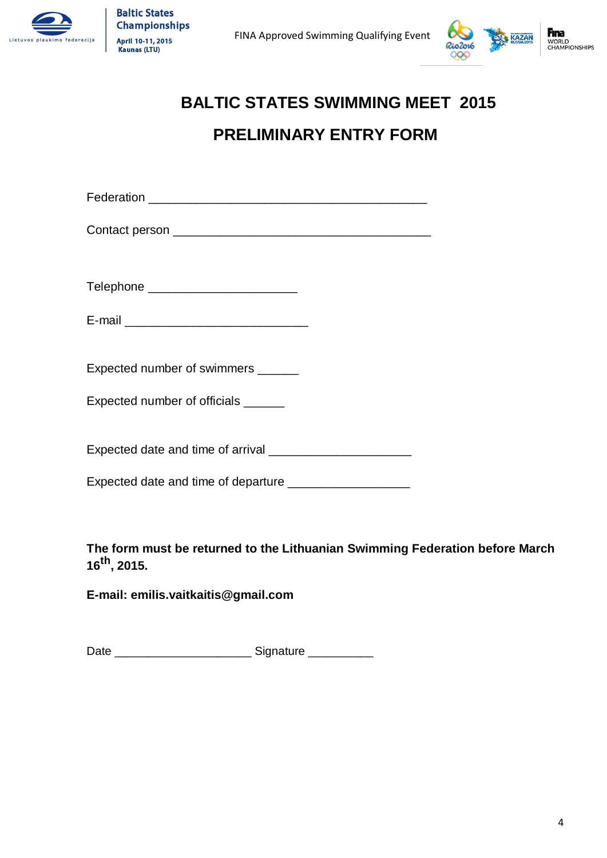



# **BALTIC STATES SWIMMING MEET 2015 PRELIMINARY ENTRY FORM**

| Telephone __________________________                        |  |
|-------------------------------------------------------------|--|
|                                                             |  |
|                                                             |  |
| Expected number of swimmers ______                          |  |
| Expected number of officials ______                         |  |
|                                                             |  |
| Expected date and time of departure _______________________ |  |
|                                                             |  |

**The form must be returned to the Lithuanian Swimming Federation before March 16th, 2015.**

**E-mail: emilis.vaitkaitis@gmail.com**

Date \_\_\_\_\_\_\_\_\_\_\_\_\_\_\_\_\_\_\_\_\_ Signature \_\_\_\_\_\_\_\_\_\_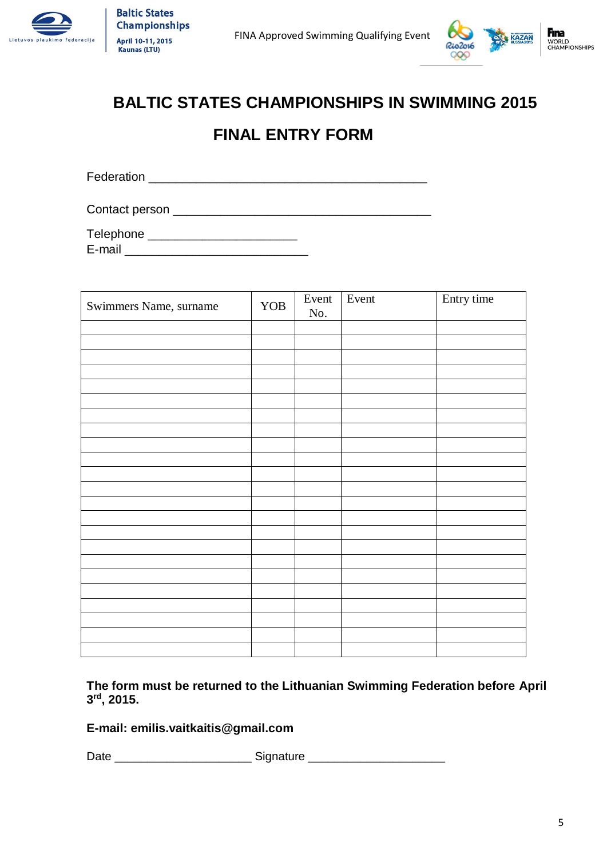



# **BALTIC STATES CHAMPIONSHIPS IN SWIMMING 2015**

## **FINAL ENTRY FORM**

Federation \_\_\_\_\_\_\_\_\_\_\_\_\_\_\_\_\_\_\_\_\_\_\_\_\_\_\_\_\_\_\_\_\_\_\_\_\_\_\_\_\_

Contact person \_\_\_\_\_\_\_\_\_\_\_\_\_\_\_\_\_\_\_\_\_\_\_\_\_\_\_\_\_\_\_\_\_\_\_\_\_\_

Telephone \_\_\_\_\_\_\_\_\_\_\_\_\_\_\_\_\_\_\_\_\_\_\_\_\_\_\_  $E$ -mail  $\Box$ 

| Swimmers Name, surname | YOB | Event<br>No. | Event | Entry time |
|------------------------|-----|--------------|-------|------------|
|                        |     |              |       |            |
|                        |     |              |       |            |
|                        |     |              |       |            |
|                        |     |              |       |            |
|                        |     |              |       |            |
|                        |     |              |       |            |
|                        |     |              |       |            |
|                        |     |              |       |            |
|                        |     |              |       |            |
|                        |     |              |       |            |
|                        |     |              |       |            |
|                        |     |              |       |            |
|                        |     |              |       |            |
|                        |     |              |       |            |
|                        |     |              |       |            |
|                        |     |              |       |            |
|                        |     |              |       |            |
|                        |     |              |       |            |
|                        |     |              |       |            |
|                        |     |              |       |            |
|                        |     |              |       |            |
|                        |     |              |       |            |
|                        |     |              |       |            |

**The form must be returned to the Lithuanian Swimming Federation before April 3 rd, 2015.**

### **E-mail: emilis.vaitkaitis@gmail.com**

Date \_\_\_\_\_\_\_\_\_\_\_\_\_\_\_\_\_\_\_\_\_\_\_\_\_\_\_\_\_\_\_\_Signature \_\_\_\_\_\_\_\_\_\_\_\_\_\_\_\_\_\_\_\_\_\_\_\_\_\_\_\_\_\_\_\_\_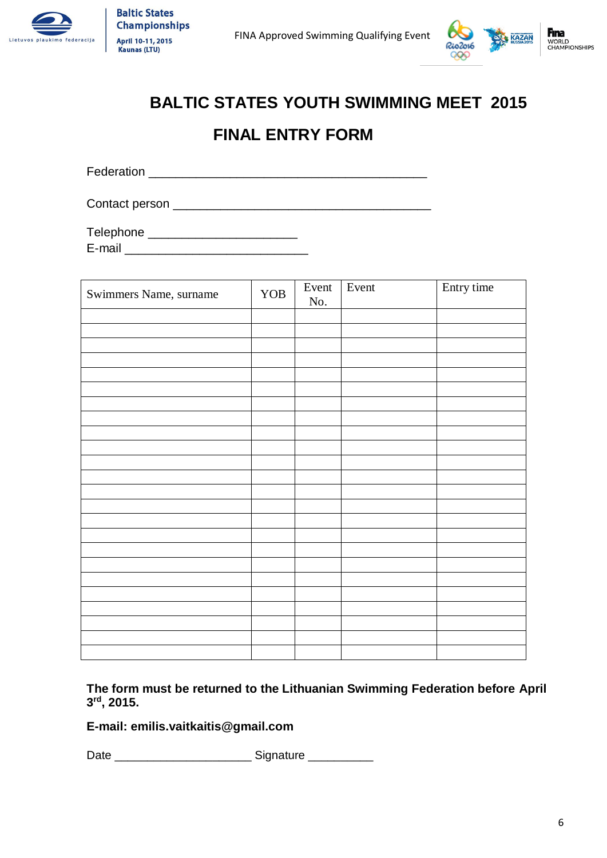



# **BALTIC STATES YOUTH SWIMMING MEET 2015**

## **FINAL ENTRY FORM**

Federation \_\_\_\_\_\_\_\_\_\_\_\_\_\_\_\_\_\_\_\_\_\_\_\_\_\_\_\_\_\_\_\_\_\_\_\_\_\_\_\_\_

Contact person \_\_\_\_\_\_\_\_\_\_\_\_\_\_\_\_\_\_\_\_\_\_\_\_\_\_\_\_\_\_\_\_\_\_\_\_\_\_

Telephone \_\_\_\_\_\_\_\_\_\_\_\_\_\_\_\_\_\_\_\_\_\_  $E$ -mail  $\Box$ 

| Swimmers Name, surname | YOB | Event<br>No. | Event | Entry time |
|------------------------|-----|--------------|-------|------------|
|                        |     |              |       |            |
|                        |     |              |       |            |
|                        |     |              |       |            |
|                        |     |              |       |            |
|                        |     |              |       |            |
|                        |     |              |       |            |
|                        |     |              |       |            |
|                        |     |              |       |            |
|                        |     |              |       |            |
|                        |     |              |       |            |
|                        |     |              |       |            |
|                        |     |              |       |            |
|                        |     |              |       |            |
|                        |     |              |       |            |
|                        |     |              |       |            |
|                        |     |              |       |            |
|                        |     |              |       |            |
|                        |     |              |       |            |
|                        |     |              |       |            |
|                        |     |              |       |            |
|                        |     |              |       |            |
|                        |     |              |       |            |
|                        |     |              |       |            |
|                        |     |              |       |            |

**The form must be returned to the Lithuanian Swimming Federation before April 3 rd, 2015.**

**E-mail: emilis.vaitkaitis@gmail.com**

Date \_\_\_\_\_\_\_\_\_\_\_\_\_\_\_\_\_\_\_\_\_ Signature \_\_\_\_\_\_\_\_\_\_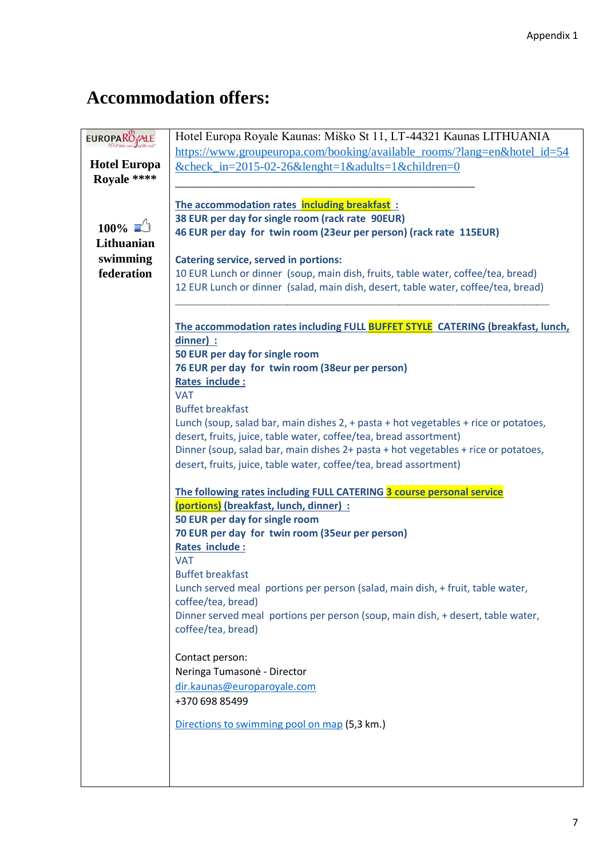# **Accommodation offers:**

| <b>EUROPARO</b> ALE<br>Hotel Europa Royale Kaunas: Miško St 11, LT-44321 Kaunas LITHUANIA<br>https://www.groupeuropa.com/booking/available_rooms/?lang=en&hotel_id=54<br><b>Hotel Europa</b><br>$&$ check_in=2015-02-26 $&$ lenght=1 $&$ adults=1 $&$ children=0<br>Royale ****<br>The accommodation rates including breakfast: |
|---------------------------------------------------------------------------------------------------------------------------------------------------------------------------------------------------------------------------------------------------------------------------------------------------------------------------------|
|                                                                                                                                                                                                                                                                                                                                 |
|                                                                                                                                                                                                                                                                                                                                 |
|                                                                                                                                                                                                                                                                                                                                 |
|                                                                                                                                                                                                                                                                                                                                 |
|                                                                                                                                                                                                                                                                                                                                 |
| 38 EUR per day for single room (rack rate 90EUR)<br>$100\%$ $\Box$                                                                                                                                                                                                                                                              |
| 46 EUR per day for twin room (23eur per person) (rack rate 115EUR)                                                                                                                                                                                                                                                              |
| Lithuanian                                                                                                                                                                                                                                                                                                                      |
| swimming<br><b>Catering service, served in portions:</b>                                                                                                                                                                                                                                                                        |
| federation<br>10 EUR Lunch or dinner (soup, main dish, fruits, table water, coffee/tea, bread)                                                                                                                                                                                                                                  |
| 12 EUR Lunch or dinner (salad, main dish, desert, table water, coffee/tea, bread)                                                                                                                                                                                                                                               |
|                                                                                                                                                                                                                                                                                                                                 |
| The accommodation rates including FULL BUFFET STYLE CATERING (breakfast, lunch,                                                                                                                                                                                                                                                 |
| dinner) :                                                                                                                                                                                                                                                                                                                       |
| 50 EUR per day for single room                                                                                                                                                                                                                                                                                                  |
| 76 EUR per day for twin room (38eur per person)                                                                                                                                                                                                                                                                                 |
| <b>Rates include:</b>                                                                                                                                                                                                                                                                                                           |
| <b>VAT</b>                                                                                                                                                                                                                                                                                                                      |
| <b>Buffet breakfast</b>                                                                                                                                                                                                                                                                                                         |
| Lunch (soup, salad bar, main dishes 2, + pasta + hot vegetables + rice or potatoes,                                                                                                                                                                                                                                             |
| desert, fruits, juice, table water, coffee/tea, bread assortment)                                                                                                                                                                                                                                                               |
| Dinner (soup, salad bar, main dishes 2+ pasta + hot vegetables + rice or potatoes,                                                                                                                                                                                                                                              |
| desert, fruits, juice, table water, coffee/tea, bread assortment)                                                                                                                                                                                                                                                               |
|                                                                                                                                                                                                                                                                                                                                 |
| The following rates including FULL CATERING 3 course personal service                                                                                                                                                                                                                                                           |
| (portions) (breakfast, lunch, dinner) :                                                                                                                                                                                                                                                                                         |
| 50 EUR per day for single room                                                                                                                                                                                                                                                                                                  |
| 70 EUR per day for twin room (35eur per person)                                                                                                                                                                                                                                                                                 |
| Rates include:                                                                                                                                                                                                                                                                                                                  |
| <b>VAT</b>                                                                                                                                                                                                                                                                                                                      |
| <b>Buffet breakfast</b>                                                                                                                                                                                                                                                                                                         |
| Lunch served meal portions per person (salad, main dish, + fruit, table water,                                                                                                                                                                                                                                                  |
| coffee/tea, bread)                                                                                                                                                                                                                                                                                                              |
| Dinner served meal portions per person (soup, main dish, + desert, table water,                                                                                                                                                                                                                                                 |
| coffee/tea, bread)                                                                                                                                                                                                                                                                                                              |
|                                                                                                                                                                                                                                                                                                                                 |
| Contact person:                                                                                                                                                                                                                                                                                                                 |
| Neringa Tumasonė - Director                                                                                                                                                                                                                                                                                                     |
| dir.kaunas@europaroyale.com                                                                                                                                                                                                                                                                                                     |
| +370 698 85499                                                                                                                                                                                                                                                                                                                  |
| Directions to swimming pool on map (5,3 km.)                                                                                                                                                                                                                                                                                    |
|                                                                                                                                                                                                                                                                                                                                 |
|                                                                                                                                                                                                                                                                                                                                 |
|                                                                                                                                                                                                                                                                                                                                 |
|                                                                                                                                                                                                                                                                                                                                 |